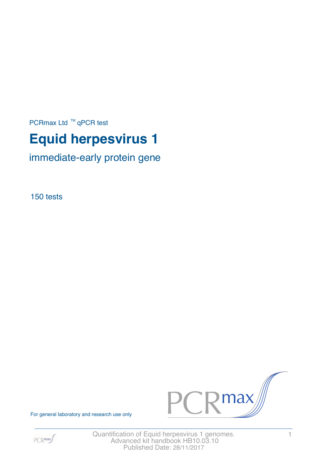PCRmax Ltd  $™$  qPCR test

# **Equid herpesvirus 1**

immediate-early protein gene

150 tests



For general laboratory and research use only



Quantification of Equid herpesvirus 1 genomes. 1 Advanced kit handbook HB10.03.10 Published Date: 28/11/2017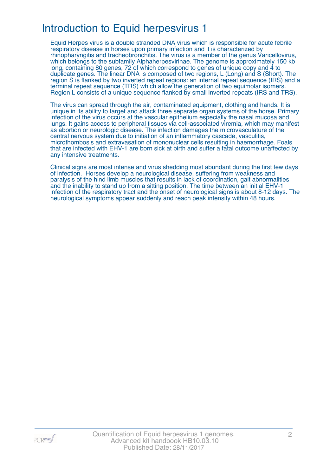# Introduction to Equid herpesvirus 1

Equid Herpes virus is a double stranded DNA virus which is responsible for acute febrile respiratory disease in horses upon primary infection and it is characterized by rhinopharyngitis and tracheobronchitis. The virus is a member of the genus Varicellovirus, which belongs to the subfamily Alphaherpesvirinae. The genome is approximately 150 kb long, containing 80 genes, 72 of which correspond to genes of unique copy and 4 to duplicate genes. The linear DNA is composed of two regions, L (Long) and S (Short). The region S is flanked by two inverted repeat regions: an internal repeat sequence (IRS) and a terminal repeat sequence (TRS) which allow the generation of two equimolar isomers. Region L consists of a unique sequence flanked by small inverted repeats (IRS and TRS).

The virus can spread through the air, contaminated equipment, clothing and hands. It is unique in its ability to target and attack three separate organ systems of the horse. Primary infection of the virus occurs at the vascular epithelium especially the nasal mucosa and lungs. It gains access to peripheral tissues via cell-associated viremia, which may manifest as abortion or neurologic disease. The infection damages the microvasculature of the central nervous system due to initiation of an inflammatory cascade, vasculitis, microthombosis and extravasation of mononuclear cells resulting in haemorrhage. Foals that are infected with EHV-1 are born sick at birth and suffer a fatal outcome unaffected by any intensive treatments.

Clinical signs are most intense and virus shedding most abundant during the first few days of infection. Horses develop a neurological disease, suffering from weakness and paralysis of the hind limb muscles that results in lack of coordination, gait abnormalities and the inability to stand up from a sitting position. The time between an initial EHV-1 infection of the respiratory tract and the onset of neurological signs is about 8-12 days. The neurological symptoms appear suddenly and reach peak intensity within 48 hours.

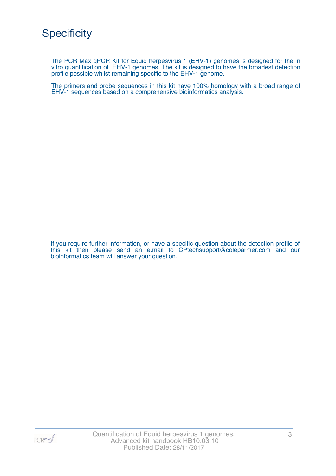The PCR Max qPCR Kit for Equid herpesvirus 1 (EHV-1) genomes is designed for the in vitro quantification of EHV-1 genomes. The kit is designed to have the broadest detection profile possible whilst remaining specific to the EHV-1 genome.

The primers and probe sequences in this kit have 100% homology with a broad range of EHV-1 sequences based on a comprehensive bioinformatics analysis.

If you require further information, or have a specific question about the detection profile of this kit then please send an e.mail to CPtechsupport@coleparmer.com and our bioinformatics team will answer your question.

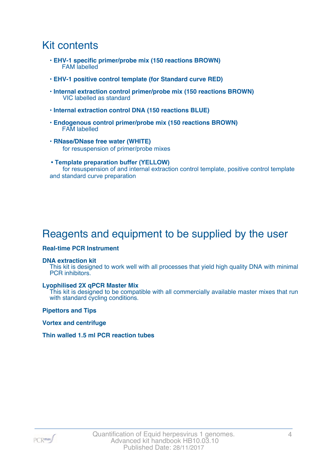### Kit contents

- **EHV-1 specific primer/probe mix (150 reactions BROWN)** FAM labelled
- **EHV-1 positive control template (for Standard curve RED)**
- **Internal extraction control primer/probe mix (150 reactions BROWN)** VIC labelled as standard
- **Internal extraction control DNA (150 reactions BLUE)**
- **Endogenous control primer/probe mix (150 reactions BROWN)** FAM labelled
- **RNase/DNase free water (WHITE)** for resuspension of primer/probe mixes
- **Template preparation buffer (YELLOW)** for resuspension of and internal extraction control template, positive control template and standard curve preparation

# Reagents and equipment to be supplied by the user

#### **Real-time PCR Instrument**

#### **DNA extraction kit**

This kit is designed to work well with all processes that yield high quality DNA with minimal PCR inhibitors.

#### **Lyophilised 2X qPCR Master Mix**

This kit is designed to be compatible with all commercially available master mixes that run with standard cycling conditions.

**Pipettors and Tips**

**Vortex and centrifuge**

#### **Thin walled 1.5 ml PCR reaction tubes**

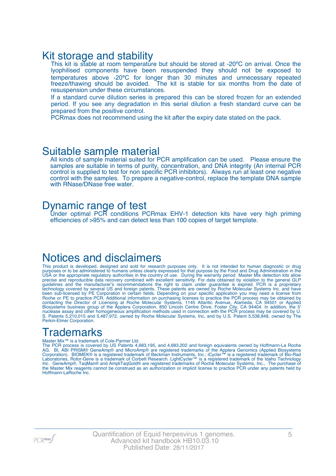### Kit storage and stability

This kit is stable at room temperature but should be stored at -20°C on arrival. Once the lyophilised components have been resuspended they should not be exposed to temperatures above -20ºC for longer than 30 minutes and unnecessary repeated freeze/thawing should be avoided. The kit is stable for six months from the date of resuspension under these circumstances.

If a standard curve dilution series is prepared this can be stored frozen for an extended period. If you see any degradation in this serial dilution a fresh standard curve can be prepared from the positive control.

PCRmax does not recommend using the kit after the expiry date stated on the pack.

### Suitable sample material

All kinds of sample material suited for PCR amplification can be used. Please ensure the samples are suitable in terms of purity, concentration, and DNA integrity (An internal PCR control is supplied to test for non specific PCR inhibitors). Always run at least one negative control with the samples. To prepare a negative-control, replace the template DNA sample with RNase/DNase free water.

### Dynamic range of test

Under optimal PCR conditions PCRmax EHV-1 detection kits have very high priming efficiencies of >95% and can detect less than 100 copies of target template.

### Notices and disclaimers

This product is developed, designed and sold for research purposes only. It is not intended for human diagnostic or drug purposes or to be administered to humans unless clearly expressed for that purpose by the Food and Drug Administration in the USA or the appropriate regulatory authorities in the country of use. During the warranty period Master Mix detection kits allow precise and reproducible data recovery combined with excellent sensitivity. For data obtained by violation to the general GLP guidelines and the manufacturer's recommendations the right to claim under guarantee is expired. PCR is a proprietary technology covered by several US and foreign patents. These patents are owned by Roche Molecular Systems Inc. and have been sub-licensed by PE Corporation in certain fields. Depending on your specific application you may need a license from Roche or PE to practice PCR. Additional information on purchasing licenses to practice the PCR process may be obtained by contacting the Director of Licensing at Roche Molecular Systems, 1145 Atlantic Avenue, Alameda, CA 94501 or Applied Biosystems business group of the Applera Corporation, 850 Lincoln Centre Drive, Foster City, CA 94404. In addition, the 5' nuclease assay and other homogeneous amplification methods used in connection with the PCR process may be covered by U. S. Patents 5,210,015 and 5,487,972, owned by Roche Molecular Systems, Inc, and by U.S. Patent 5,538,848, owned by The Perkin-Elmer Corporation.

### **Trademarks**

#### Master Mix™ is a trademark of Cole-Parmer Ltd.

The PCR process is covered by US Patents 4,683,195, and 4,683,202 and foreign equivalents owned by Hoffmann-La Roche AG. BI, ABI PRISM® GeneAmp® and MicroAmp® are registered trademarks of the Applera Genomics (Applied Biosystems Corporation). BIOMEK® is a registered trademark of Beckman Instruments, Inc.; iCycler™ is a registered trademark of Bio-Rad Laboratories, Rotor-Gene is a trademark of Corbett Research. LightCycler™ is a registered trademark of the Idaho Technology Inc. GeneAmp®, TaqMan® and AmpliTaqGold® are registered trademarks of Roche Molecular Systems, Inc., The purchase of the Master Mix reagents cannot be construed as an authorization or implicit license to practice PCR under any patents held by Hoffmann-LaRoche Inc.

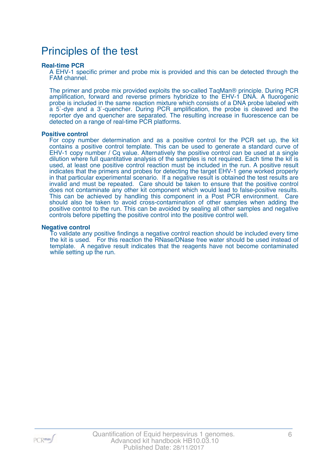### Principles of the test

#### **Real-time PCR**

A EHV-1 specific primer and probe mix is provided and this can be detected through the FAM channel.

The primer and probe mix provided exploits the so-called TaqMan® principle. During PCR amplification, forward and reverse primers hybridize to the EHV-1 DNA. A fluorogenic probe is included in the same reaction mixture which consists of a DNA probe labeled with a 5`-dye and a 3`-quencher. During PCR amplification, the probe is cleaved and the reporter dye and quencher are separated. The resulting increase in fluorescence can be detected on a range of real-time PCR platforms.

#### **Positive control**

For copy number determination and as a positive control for the PCR set up, the kit contains a positive control template. This can be used to generate a standard curve of EHV-1 copy number / Cq value. Alternatively the positive control can be used at a single dilution where full quantitative analysis of the samples is not required. Each time the kit is used, at least one positive control reaction must be included in the run. A positive result indicates that the primers and probes for detecting the target EHV-1 gene worked properly in that particular experimental scenario. If a negative result is obtained the test results are invalid and must be repeated. Care should be taken to ensure that the positive control does not contaminate any other kit component which would lead to false-positive results. This can be achieved by handling this component in a Post PCR environment. Care should also be taken to avoid cross-contamination of other samples when adding the positive control to the run. This can be avoided by sealing all other samples and negative controls before pipetting the positive control into the positive control well.

#### **Negative control**

To validate any positive findings a negative control reaction should be included every time the kit is used. For this reaction the RNase/DNase free water should be used instead of template. A negative result indicates that the reagents have not become contaminated while setting up the run.

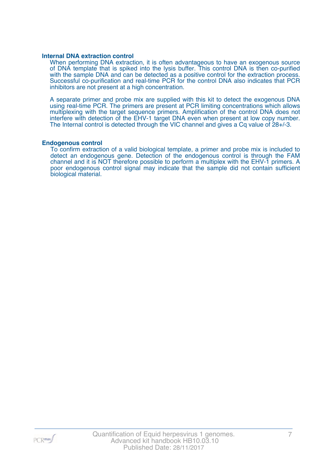#### **Internal DNA extraction control**

When performing DNA extraction, it is often advantageous to have an exogenous source of DNA template that is spiked into the lysis buffer. This control DNA is then co-purified with the sample DNA and can be detected as a positive control for the extraction process. Successful co-purification and real-time PCR for the control DNA also indicates that PCR inhibitors are not present at a high concentration.

A separate primer and probe mix are supplied with this kit to detect the exogenous DNA using real-time PCR. The primers are present at PCR limiting concentrations which allows multiplexing with the target sequence primers. Amplification of the control DNA does not interfere with detection of the EHV-1 target DNA even when present at low copy number. The Internal control is detected through the VIC channel and gives a Cq value of 28+/-3.

#### **Endogenous control**

To confirm extraction of a valid biological template, a primer and probe mix is included to detect an endogenous gene. Detection of the endogenous control is through the FAM channel and it is NOT therefore possible to perform a multiplex with the EHV-1 primers. A poor endogenous control signal may indicate that the sample did not contain sufficient biological material.

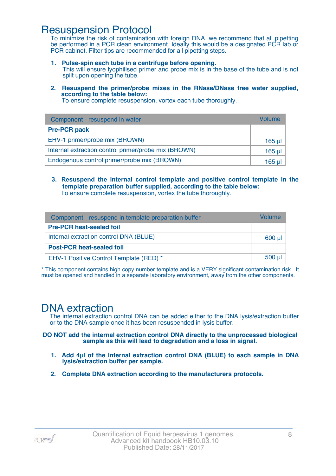### Resuspension Protocol

To minimize the risk of contamination with foreign DNA, we recommend that all pipetting be performed in a PCR clean environment. Ideally this would be a designated PCR lab or PCR cabinet. Filter tips are recommended for all pipetting steps.

- **1. Pulse-spin each tube in a centrifuge before opening.** This will ensure lyophilised primer and probe mix is in the base of the tube and is not spilt upon opening the tube.
- **2. Resuspend the primer/probe mixes in the RNase/DNase free water supplied, according to the table below:**

To ensure complete resuspension, vortex each tube thoroughly.

| Component - resuspend in water                       | Volume  |
|------------------------------------------------------|---------|
| <b>Pre-PCR pack</b>                                  |         |
| EHV-1 primer/probe mix (BROWN)                       | 165 µl  |
| Internal extraction control primer/probe mix (BROWN) | $165$ µ |
| Endogenous control primer/probe mix (BROWN)          | 165 ul  |

**3. Resuspend the internal control template and positive control template in the template preparation buffer supplied, according to the table below:** To ensure complete resuspension, vortex the tube thoroughly.

| Component - resuspend in template preparation buffer |          |  |
|------------------------------------------------------|----------|--|
| <b>Pre-PCR heat-sealed foil</b>                      |          |  |
| Internal extraction control DNA (BLUE)               | 600 µl   |  |
| <b>Post-PCR heat-sealed foil</b>                     |          |  |
| EHV-1 Positive Control Template (RED) *              | $500$ µl |  |

\* This component contains high copy number template and is a VERY significant contamination risk. It must be opened and handled in a separate laboratory environment, away from the other components.

### DNA extraction

The internal extraction control DNA can be added either to the DNA lysis/extraction buffer or to the DNA sample once it has been resuspended in lysis buffer.

**DO NOT add the internal extraction control DNA directly to the unprocessed biological sample as this will lead to degradation and a loss in signal.**

- **1. Add 4µl of the Internal extraction control DNA (BLUE) to each sample in DNA lysis/extraction buffer per sample.**
- **2. Complete DNA extraction according to the manufacturers protocols.**

PCR<sub>max</sub>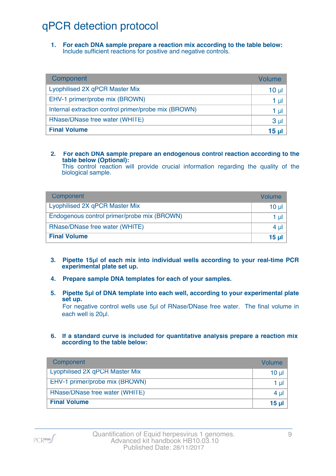# qPCR detection protocol

**1. For each DNA sample prepare a reaction mix according to the table below:** Include sufficient reactions for positive and negative controls.

| Component                                            | Volume          |
|------------------------------------------------------|-----------------|
| Lyophilised 2X qPCR Master Mix                       | 10 <sub>µ</sub> |
| EHV-1 primer/probe mix (BROWN)                       | 1 µl            |
| Internal extraction control primer/probe mix (BROWN) | 1 µl            |
| RNase/DNase free water (WHITE)                       | 3 <sub>µ</sub>  |
| <b>Final Volume</b>                                  | 15 µl           |

#### **2. For each DNA sample prepare an endogenous control reaction according to the table below (Optional):**

This control reaction will provide crucial information regarding the quality of the biological sample.

| Component                                   | Volume       |
|---------------------------------------------|--------------|
| Lyophilised 2X qPCR Master Mix              | 10 ul        |
| Endogenous control primer/probe mix (BROWN) | 1 ul         |
| RNase/DNase free water (WHITE)              | 4 ul         |
| <b>Final Volume</b>                         | <u>15 ul</u> |

- **3. Pipette 15µl of each mix into individual wells according to your real-time PCR experimental plate set up.**
- **4. Prepare sample DNA templates for each of your samples.**
- **5. Pipette 5µl of DNA template into each well, according to your experimental plate set up.**

For negative control wells use 5µl of RNase/DNase free water. The final volume in each well is 20ul.

**6. If a standard curve is included for quantitative analysis prepare a reaction mix according to the table below:**

| Component                      | Volume   |
|--------------------------------|----------|
| Lyophilised 2X qPCR Master Mix | $10 \mu$ |
| EHV-1 primer/probe mix (BROWN) | 1 µl     |
| RNase/DNase free water (WHITE) | $4 \mu$  |
| <b>Final Volume</b>            | $15 \mu$ |

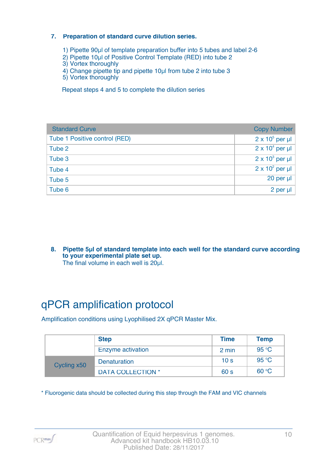#### **7. Preparation of standard curve dilution series.**

- 1) Pipette 90µl of template preparation buffer into 5 tubes and label 2-6
- 2) Pipette 10µl of Positive Control Template (RED) into tube 2
- 3) Vortex thoroughly
- 4) Change pipette tip and pipette 10µl from tube 2 into tube 3
- 5) Vortex thoroughly

Repeat steps 4 and 5 to complete the dilution series

| <b>Standard Curve</b>         | <b>Copy Number</b>     |
|-------------------------------|------------------------|
| Tube 1 Positive control (RED) | $2 \times 10^5$ per µl |
| Tube 2                        | $2 \times 10^4$ per µl |
| Tube 3                        | $2 \times 10^3$ per µl |
| Tube 4                        | $2 \times 10^2$ per µl |
| Tube 5                        | 20 per µl              |
| Tube 6                        | 2 per µl               |

**8. Pipette 5µl of standard template into each well for the standard curve according to your experimental plate set up.** The final volume in each well is 20µl.

# qPCR amplification protocol

Amplification conditions using Lyophilised 2X qPCR Master Mix.

|             | <b>Step</b>              | <b>Time</b>     | <b>Temp</b> |
|-------------|--------------------------|-----------------|-------------|
|             | Enzyme activation        | 2 min           | 95 °C       |
| Cycling x50 | <b>Denaturation</b>      | 10 <sub>s</sub> | 95 °C       |
|             | <b>DATA COLLECTION *</b> | 60 <sub>s</sub> | 60 °C       |

\* Fluorogenic data should be collected during this step through the FAM and VIC channels

PCR<sub>max</sub>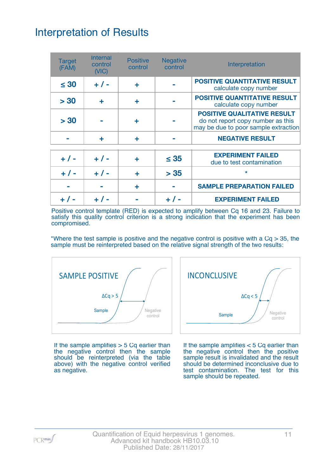# Interpretation of Results

| <b>Target</b><br>(FAM) | <b>Internal</b><br>control<br>(NIC) | <b>Positive</b><br>control | <b>Negative</b><br>control | Interpretation                                                                                                  |
|------------------------|-------------------------------------|----------------------------|----------------------------|-----------------------------------------------------------------------------------------------------------------|
| $\leq 30$              | $+ 1 -$                             | ٠                          |                            | <b>POSITIVE QUANTITATIVE RESULT</b><br>calculate copy number                                                    |
| > 30                   | ÷                                   | ٠                          |                            | <b>POSITIVE QUANTITATIVE RESULT</b><br>calculate copy number                                                    |
| > 30                   |                                     |                            |                            | <b>POSITIVE QUALITATIVE RESULT</b><br>do not report copy number as this<br>may be due to poor sample extraction |
|                        | ÷                                   | ٠                          |                            | <b>NEGATIVE RESULT</b>                                                                                          |
| $+ 1 -$                | $+ 1 -$                             | ÷                          | $\leq 35$                  | <b>EXPERIMENT FAILED</b><br>due to test contamination                                                           |
| $+ 1 -$                | $+ 1 -$                             | ÷                          | > 35                       | $\star$                                                                                                         |
|                        |                                     | ÷                          |                            | <b>SAMPLE PREPARATION FAILED</b>                                                                                |
|                        |                                     |                            |                            | <b>EXPERIMENT FAILED</b>                                                                                        |

Positive control template (RED) is expected to amplify between Cq 16 and 23. Failure to satisfy this quality control criterion is a strong indication that the experiment has been compromised.

\*Where the test sample is positive and the negative control is positive with a  $Cq > 35$ , the sample must be reinterpreted based on the relative signal strength of the two results:



If the sample amplifies  $> 5$  Cq earlier than the negative control then the sample should be reinterpreted (via the table above) with the negative control verified as negative.



If the sample amplifies < 5 Cq earlier than the negative control then the positive sample result is invalidated and the result should be determined inconclusive due to test contamination. The test for this sample should be repeated.